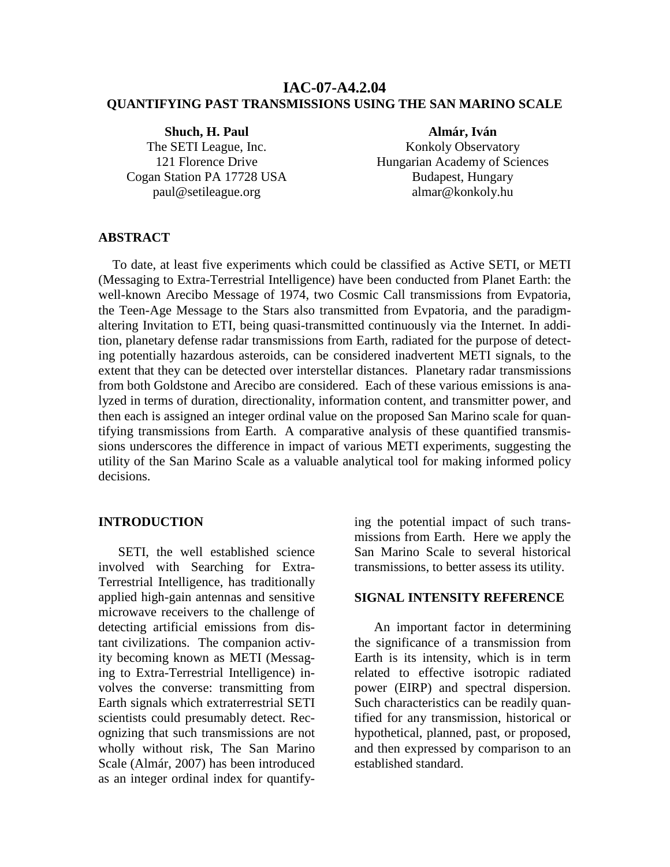## **IAC-07-A4.2.04 QUANTIFYING PAST TRANSMISSIONS USING THE SAN MARINO SCALE**

**Shuch, H. Paul**  The SETI League, Inc. 121 Florence Drive Cogan Station PA 17728 USA paul@setileague.org

**Almár, Iván**  Konkoly Observatory Hungarian Academy of Sciences Budapest, Hungary almar@konkoly.hu

## **ABSTRACT**

 To date, at least five experiments which could be classified as Active SETI, or METI (Messaging to Extra-Terrestrial Intelligence) have been conducted from Planet Earth: the well-known Arecibo Message of 1974, two Cosmic Call transmissions from Evpatoria, the Teen-Age Message to the Stars also transmitted from Evpatoria, and the paradigmaltering Invitation to ETI, being quasi-transmitted continuously via the Internet. In addition, planetary defense radar transmissions from Earth, radiated for the purpose of detecting potentially hazardous asteroids, can be considered inadvertent METI signals, to the extent that they can be detected over interstellar distances. Planetary radar transmissions from both Goldstone and Arecibo are considered. Each of these various emissions is analyzed in terms of duration, directionality, information content, and transmitter power, and then each is assigned an integer ordinal value on the proposed San Marino scale for quantifying transmissions from Earth. A comparative analysis of these quantified transmissions underscores the difference in impact of various METI experiments, suggesting the utility of the San Marino Scale as a valuable analytical tool for making informed policy decisions.

#### **INTRODUCTION**

SETI, the well established science involved with Searching for Extra-Terrestrial Intelligence, has traditionally applied high-gain antennas and sensitive microwave receivers to the challenge of detecting artificial emissions from distant civilizations. The companion activity becoming known as METI (Messaging to Extra-Terrestrial Intelligence) involves the converse: transmitting from Earth signals which extraterrestrial SETI scientists could presumably detect. Recognizing that such transmissions are not wholly without risk, The San Marino Scale (Almár, 2007) has been introduced as an integer ordinal index for quantifying the potential impact of such transmissions from Earth. Here we apply the San Marino Scale to several historical transmissions, to better assess its utility.

## **SIGNAL INTENSITY REFERENCE**

An important factor in determining the significance of a transmission from Earth is its intensity, which is in term related to effective isotropic radiated power (EIRP) and spectral dispersion. Such characteristics can be readily quantified for any transmission, historical or hypothetical, planned, past, or proposed, and then expressed by comparison to an established standard.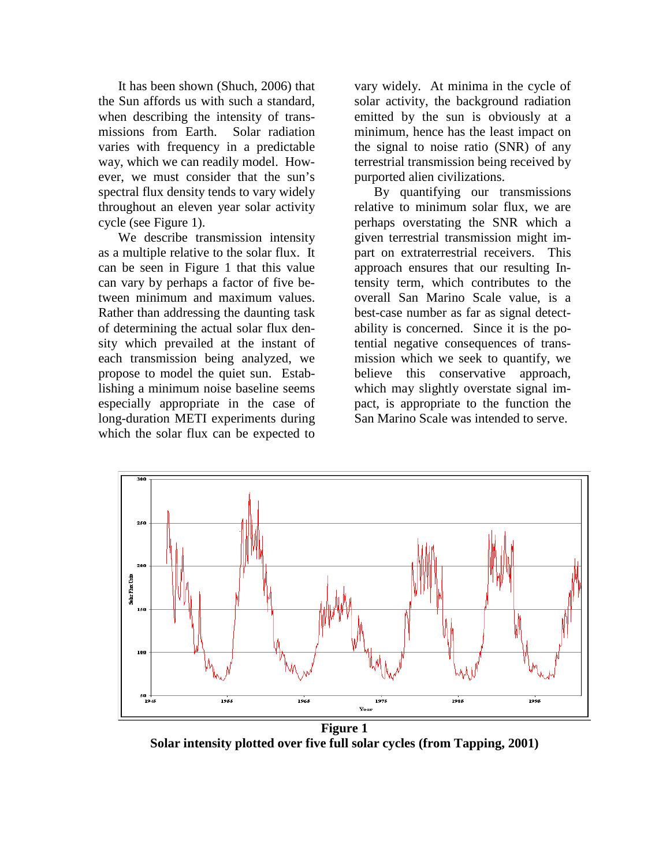It has been shown (Shuch, 2006) that the Sun affords us with such a standard, when describing the intensity of transmissions from Earth. Solar radiation varies with frequency in a predictable way, which we can readily model. However, we must consider that the sun's spectral flux density tends to vary widely throughout an eleven year solar activity cycle (see Figure 1).

We describe transmission intensity as a multiple relative to the solar flux. It can be seen in Figure 1 that this value can vary by perhaps a factor of five between minimum and maximum values. Rather than addressing the daunting task of determining the actual solar flux density which prevailed at the instant of each transmission being analyzed, we propose to model the quiet sun. Establishing a minimum noise baseline seems especially appropriate in the case of long-duration METI experiments during which the solar flux can be expected to

vary widely. At minima in the cycle of solar activity, the background radiation emitted by the sun is obviously at a minimum, hence has the least impact on the signal to noise ratio (SNR) of any terrestrial transmission being received by purported alien civilizations.

By quantifying our transmissions relative to minimum solar flux, we are perhaps overstating the SNR which a given terrestrial transmission might impart on extraterrestrial receivers. This approach ensures that our resulting Intensity term, which contributes to the overall San Marino Scale value, is a best-case number as far as signal detectability is concerned. Since it is the potential negative consequences of transmission which we seek to quantify, we believe this conservative approach, which may slightly overstate signal impact, is appropriate to the function the San Marino Scale was intended to serve.



**Figure 1 Solar intensity plotted over five full solar cycles (from Tapping, 2001)**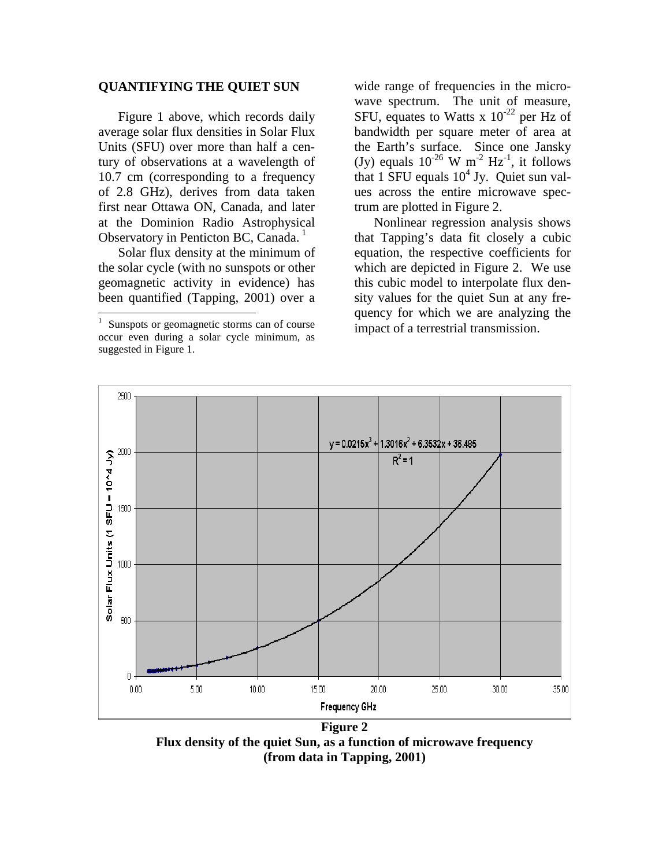## **QUANTIFYING THE QUIET SUN**

Figure 1 above, which records daily average solar flux densities in Solar Flux Units (SFU) over more than half a century of observations at a wavelength of 10.7 cm (corresponding to a frequency of 2.8 GHz), derives from data taken first near Ottawa ON, Canada, and later at the Dominion Radio Astrophysical Observatory in Penticton BC, Canada.<sup>1</sup>

Solar flux density at the minimum of the solar cycle (with no sunspots or other geomagnetic activity in evidence) has been quantified (Tapping, 2001) over a

1

wide range of frequencies in the microwave spectrum. The unit of measure, SFU, equates to Watts x  $10^{-22}$  per Hz of bandwidth per square meter of area at the Earth's surface. Since one Jansky (Jy) equals  $10^{-26}$  W m<sup>-2</sup> Hz<sup>-1</sup>, it follows that  $1$  SFU equals  $10^4$  Jy. Quiet sun values across the entire microwave spectrum are plotted in Figure 2.

Nonlinear regression analysis shows that Tapping's data fit closely a cubic equation, the respective coefficients for which are depicted in Figure 2. We use this cubic model to interpolate flux density values for the quiet Sun at any frequency for which we are analyzing the impact of a terrestrial transmission.



**Figure 2 Flux density of the quiet Sun, as a function of microwave frequency (from data in Tapping, 2001)** 

<sup>1</sup> Sunspots or geomagnetic storms can of course occur even during a solar cycle minimum, as suggested in Figure 1.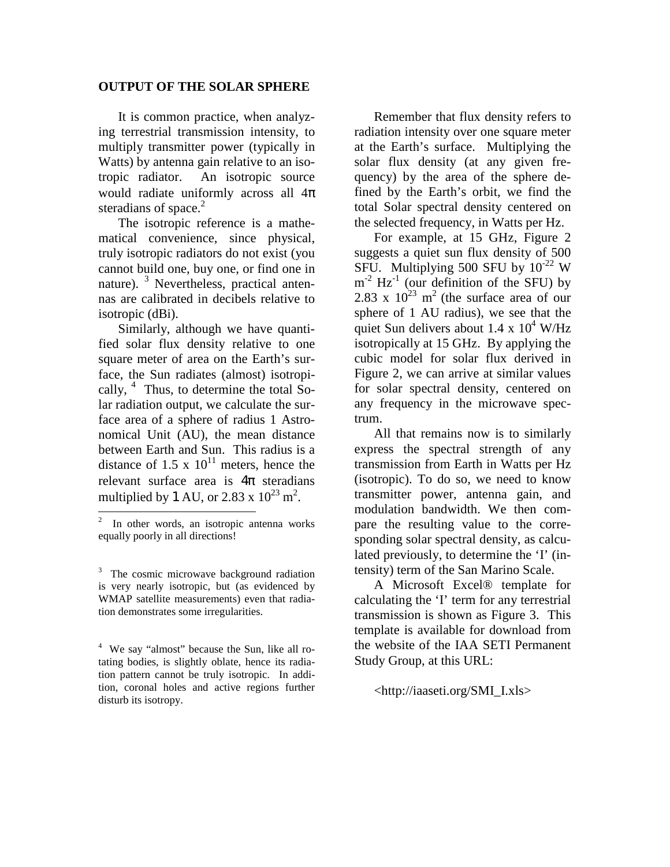#### **OUTPUT OF THE SOLAR SPHERE**

It is common practice, when analyzing terrestrial transmission intensity, to multiply transmitter power (typically in Watts) by antenna gain relative to an isotropic radiator. An isotropic source would radiate uniformly across all  $4\pi$ steradians of space. $2$ 

The isotropic reference is a mathematical convenience, since physical, truly isotropic radiators do not exist (you cannot build one, buy one, or find one in nature). <sup>3</sup> Nevertheless, practical antennas are calibrated in decibels relative to isotropic (dBi).

Similarly, although we have quantified solar flux density relative to one square meter of area on the Earth's surface, the Sun radiates (almost) isotropically,  $4$  Thus, to determine the total Solar radiation output, we calculate the surface area of a sphere of radius 1 Astronomical Unit (AU), the mean distance between Earth and Sun. This radius is a distance of 1.5 x  $10^{11}$  meters, hence the relevant surface area is  $4\pi$  steradians multiplied by 1 AU, or 2.83 x  $10^{23}$  m<sup>2</sup>.

Remember that flux density refers to radiation intensity over one square meter at the Earth's surface. Multiplying the solar flux density (at any given frequency) by the area of the sphere defined by the Earth's orbit, we find the total Solar spectral density centered on the selected frequency, in Watts per Hz.

For example, at 15 GHz, Figure 2 suggests a quiet sun flux density of 500 SFU. Multiplying 500 SFU by 10-22 W  $m^{-2}$  Hz<sup>-1</sup> (our definition of the SFU) by 2.83 x  $10^{23}$  m<sup>2</sup> (the surface area of our sphere of 1 AU radius), we see that the quiet Sun delivers about  $1.4 \times 10^4$  W/Hz isotropically at 15 GHz. By applying the cubic model for solar flux derived in Figure 2, we can arrive at similar values for solar spectral density, centered on any frequency in the microwave spectrum.

All that remains now is to similarly express the spectral strength of any transmission from Earth in Watts per Hz (isotropic). To do so, we need to know transmitter power, antenna gain, and modulation bandwidth. We then compare the resulting value to the corresponding solar spectral density, as calculated previously, to determine the 'I' (intensity) term of the San Marino Scale.

A Microsoft Excel® template for calculating the 'I' term for any terrestrial transmission is shown as Figure 3. This template is available for download from the website of the IAA SETI Permanent Study Group, at this URL:

#### <http://iaaseti.org/SMI\_I.xls>

<sup>&</sup>lt;sup>2</sup> In other words, an isotropic antenna works equally poorly in all directions!

<sup>&</sup>lt;sup>3</sup> The cosmic microwave background radiation is very nearly isotropic, but (as evidenced by WMAP satellite measurements) even that radiation demonstrates some irregularities.

<sup>&</sup>lt;sup>4</sup> We say "almost" because the Sun, like all rotating bodies, is slightly oblate, hence its radiation pattern cannot be truly isotropic. In addition, coronal holes and active regions further disturb its isotropy.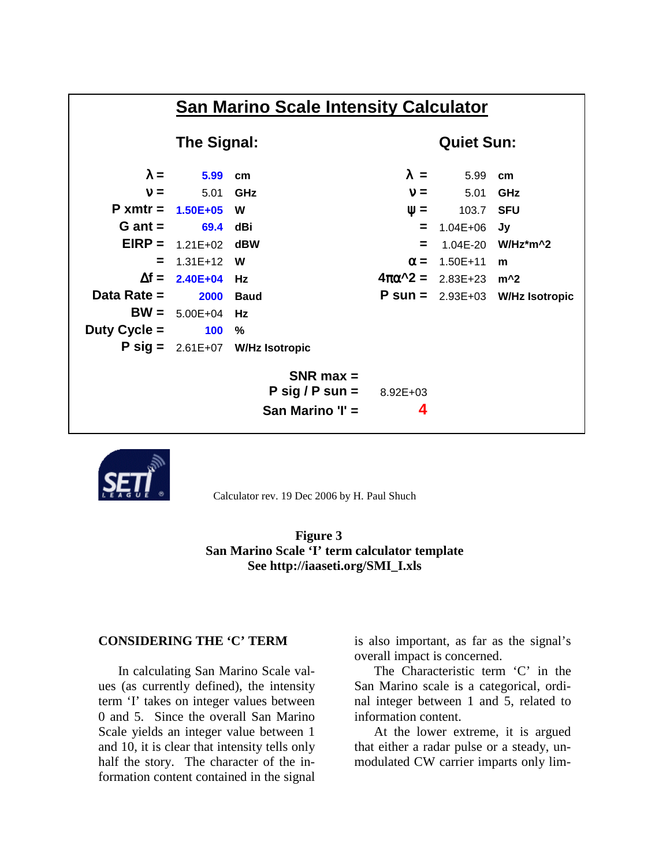



Calculator rev. 19 Dec 2006 by H. Paul Shuch

## **Figure 3 San Marino Scale 'I' term calculator template See http://iaaseti.org/SMI\_I.xls**

## **CONSIDERING THE 'C' TERM**

In calculating San Marino Scale values (as currently defined), the intensity term 'I' takes on integer values between 0 and 5. Since the overall San Marino Scale yields an integer value between 1 and 10, it is clear that intensity tells only half the story. The character of the information content contained in the signal is also important, as far as the signal's overall impact is concerned.

The Characteristic term 'C' in the San Marino scale is a categorical, ordinal integer between 1 and 5, related to information content.

At the lower extreme, it is argued that either a radar pulse or a steady, unmodulated CW carrier imparts only lim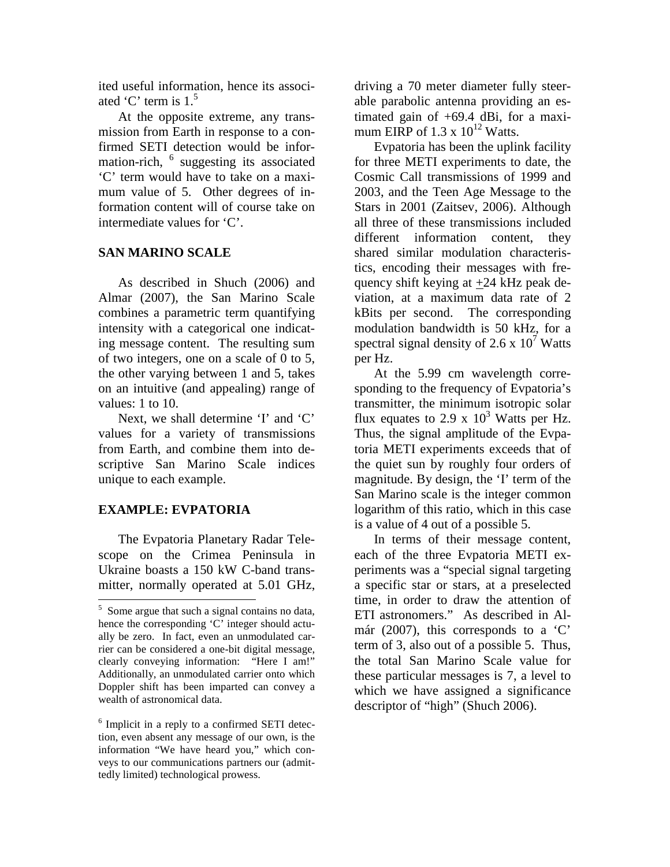ited useful information, hence its associated 'C' term is  $1<sup>5</sup>$ 

At the opposite extreme, any transmission from Earth in response to a confirmed SETI detection would be information-rich, <sup>6</sup> suggesting its associated 'C' term would have to take on a maximum value of 5. Other degrees of information content will of course take on intermediate values for 'C'.

# **SAN MARINO SCALE**

As described in Shuch (2006) and Almar (2007), the San Marino Scale combines a parametric term quantifying intensity with a categorical one indicating message content. The resulting sum of two integers, one on a scale of 0 to 5, the other varying between 1 and 5, takes on an intuitive (and appealing) range of values: 1 to 10.

Next, we shall determine 'I' and 'C' values for a variety of transmissions from Earth, and combine them into descriptive San Marino Scale indices unique to each example.

# **EXAMPLE: EVPATORIA**

-

The Evpatoria Planetary Radar Telescope on the Crimea Peninsula in Ukraine boasts a 150 kW C-band transmitter, normally operated at 5.01 GHz,

driving a 70 meter diameter fully steerable parabolic antenna providing an estimated gain of +69.4 dBi, for a maximum EIRP of  $1.3 \times 10^{12}$  Watts.

Evpatoria has been the uplink facility for three METI experiments to date, the Cosmic Call transmissions of 1999 and 2003, and the Teen Age Message to the Stars in 2001 (Zaitsev, 2006). Although all three of these transmissions included different information content, they shared similar modulation characteristics, encoding their messages with frequency shift keying at  $\pm$ 24 kHz peak deviation, at a maximum data rate of 2 kBits per second. The corresponding modulation bandwidth is 50 kHz, for a spectral signal density of 2.6 x  $10^7$  Watts per Hz.

At the 5.99 cm wavelength corresponding to the frequency of Evpatoria's transmitter, the minimum isotropic solar flux equates to 2.9 x  $10^3$  Watts per Hz. Thus, the signal amplitude of the Evpatoria METI experiments exceeds that of the quiet sun by roughly four orders of magnitude. By design, the 'I' term of the San Marino scale is the integer common logarithm of this ratio, which in this case is a value of 4 out of a possible 5.

In terms of their message content, each of the three Evpatoria METI experiments was a "special signal targeting a specific star or stars, at a preselected time, in order to draw the attention of ETI astronomers." As described in Almár (2007), this corresponds to a 'C' term of 3, also out of a possible 5. Thus, the total San Marino Scale value for these particular messages is 7, a level to which we have assigned a significance descriptor of "high" (Shuch 2006).

 $<sup>5</sup>$  Some argue that such a signal contains no data,</sup> hence the corresponding 'C' integer should actually be zero. In fact, even an unmodulated carrier can be considered a one-bit digital message, clearly conveying information: "Here I am!" Additionally, an unmodulated carrier onto which Doppler shift has been imparted can convey a wealth of astronomical data.

<sup>6</sup> Implicit in a reply to a confirmed SETI detection, even absent any message of our own, is the information "We have heard you," which conveys to our communications partners our (admittedly limited) technological prowess.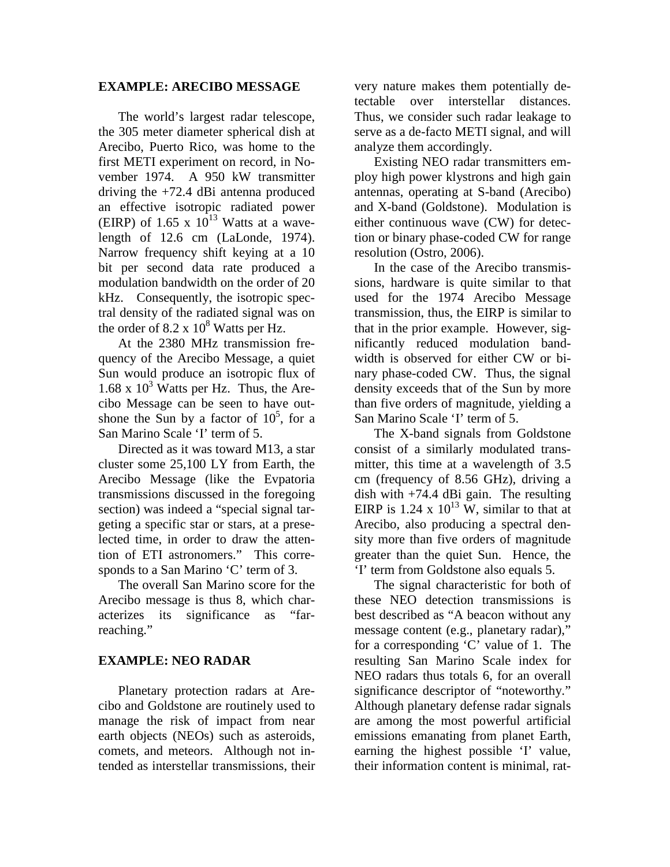## **EXAMPLE: ARECIBO MESSAGE**

The world's largest radar telescope, the 305 meter diameter spherical dish at Arecibo, Puerto Rico, was home to the first METI experiment on record, in November 1974. A 950 kW transmitter driving the +72.4 dBi antenna produced an effective isotropic radiated power (EIRP) of 1.65 x  $10^{13}$  Watts at a wavelength of 12.6 cm (LaLonde, 1974). Narrow frequency shift keying at a 10 bit per second data rate produced a modulation bandwidth on the order of 20 kHz. Consequently, the isotropic spectral density of the radiated signal was on the order of  $8.2 \times 10^8$  Watts per Hz.

At the 2380 MHz transmission frequency of the Arecibo Message, a quiet Sun would produce an isotropic flux of 1.68 x  $10^3$  Watts per Hz. Thus, the Arecibo Message can be seen to have outshone the Sun by a factor of  $10^5$ , for a San Marino Scale 'I' term of 5.

Directed as it was toward M13, a star cluster some 25,100 LY from Earth, the Arecibo Message (like the Evpatoria transmissions discussed in the foregoing section) was indeed a "special signal targeting a specific star or stars, at a preselected time, in order to draw the attention of ETI astronomers." This corresponds to a San Marino 'C' term of 3.

The overall San Marino score for the Arecibo message is thus 8, which characterizes its significance as "farreaching."

# **EXAMPLE: NEO RADAR**

Planetary protection radars at Arecibo and Goldstone are routinely used to manage the risk of impact from near earth objects (NEOs) such as asteroids, comets, and meteors. Although not intended as interstellar transmissions, their very nature makes them potentially detectable over interstellar distances. Thus, we consider such radar leakage to serve as a de-facto METI signal, and will analyze them accordingly.

Existing NEO radar transmitters employ high power klystrons and high gain antennas, operating at S-band (Arecibo) and X-band (Goldstone). Modulation is either continuous wave (CW) for detection or binary phase-coded CW for range resolution (Ostro, 2006).

In the case of the Arecibo transmissions, hardware is quite similar to that used for the 1974 Arecibo Message transmission, thus, the EIRP is similar to that in the prior example. However, significantly reduced modulation bandwidth is observed for either CW or binary phase-coded CW. Thus, the signal density exceeds that of the Sun by more than five orders of magnitude, yielding a San Marino Scale 'I' term of 5.

The X-band signals from Goldstone consist of a similarly modulated transmitter, this time at a wavelength of 3.5 cm (frequency of 8.56 GHz), driving a dish with +74.4 dBi gain. The resulting EIRP is 1.24 x  $10^{13}$  W, similar to that at Arecibo, also producing a spectral density more than five orders of magnitude greater than the quiet Sun. Hence, the 'I' term from Goldstone also equals 5.

The signal characteristic for both of these NEO detection transmissions is best described as "A beacon without any message content (e.g., planetary radar)," for a corresponding 'C' value of 1. The resulting San Marino Scale index for NEO radars thus totals 6, for an overall significance descriptor of "noteworthy." Although planetary defense radar signals are among the most powerful artificial emissions emanating from planet Earth, earning the highest possible 'I' value, their information content is minimal, rat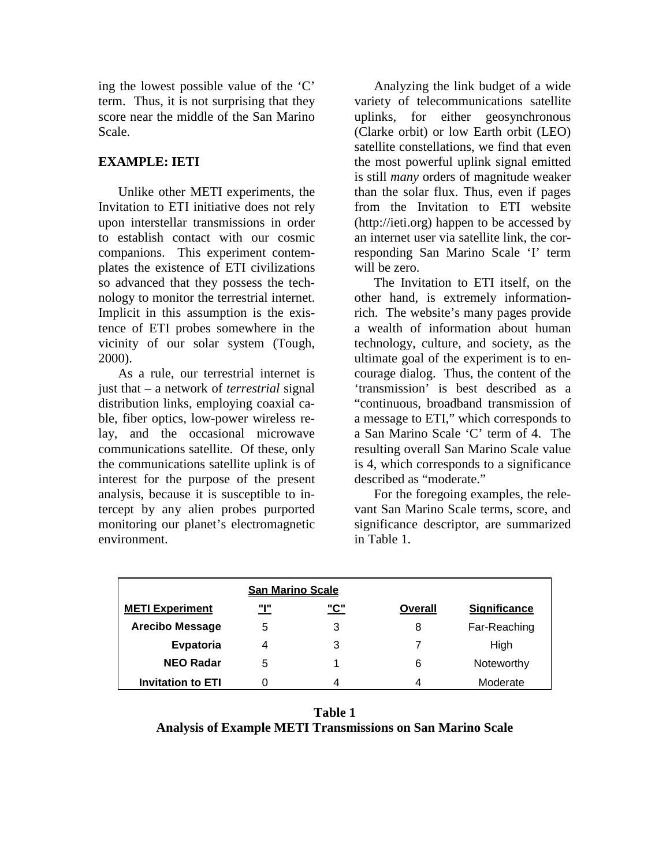ing the lowest possible value of the 'C' term. Thus, it is not surprising that they score near the middle of the San Marino Scale.

## **EXAMPLE: IETI**

Unlike other METI experiments, the Invitation to ETI initiative does not rely upon interstellar transmissions in order to establish contact with our cosmic companions. This experiment contemplates the existence of ETI civilizations so advanced that they possess the technology to monitor the terrestrial internet. Implicit in this assumption is the existence of ETI probes somewhere in the vicinity of our solar system (Tough, 2000).

As a rule, our terrestrial internet is just that – a network of *terrestrial* signal distribution links, employing coaxial cable, fiber optics, low-power wireless relay, and the occasional microwave communications satellite. Of these, only the communications satellite uplink is of interest for the purpose of the present analysis, because it is susceptible to intercept by any alien probes purported monitoring our planet's electromagnetic environment.

Analyzing the link budget of a wide variety of telecommunications satellite uplinks, for either geosynchronous (Clarke orbit) or low Earth orbit (LEO) satellite constellations, we find that even the most powerful uplink signal emitted is still *many* orders of magnitude weaker than the solar flux. Thus, even if pages from the Invitation to ETI website (http://ieti.org) happen to be accessed by an internet user via satellite link, the corresponding San Marino Scale 'I' term will be zero.

The Invitation to ETI itself, on the other hand, is extremely informationrich. The website's many pages provide a wealth of information about human technology, culture, and society, as the ultimate goal of the experiment is to encourage dialog. Thus, the content of the 'transmission' is best described as a "continuous, broadband transmission of a message to ETI," which corresponds to a San Marino Scale 'C' term of 4. The resulting overall San Marino Scale value is 4, which corresponds to a significance described as "moderate."

For the foregoing examples, the relevant San Marino Scale terms, score, and significance descriptor, are summarized in Table 1.

| <b>San Marino Scale</b>  |     |            |         |                     |
|--------------------------|-----|------------|---------|---------------------|
| <b>METI Experiment</b>   | "ו" | <u>"C"</u> | Overall | <b>Significance</b> |
| <b>Arecibo Message</b>   | 5   | 3          | 8       | Far-Reaching        |
| Evpatoria                | 4   | 3          |         | High                |
| <b>NEO Radar</b>         | 5   |            | 6       | Noteworthy          |
| <b>Invitation to ETI</b> |     |            |         | Moderate            |

**Table 1 Analysis of Example METI Transmissions on San Marino Scale**